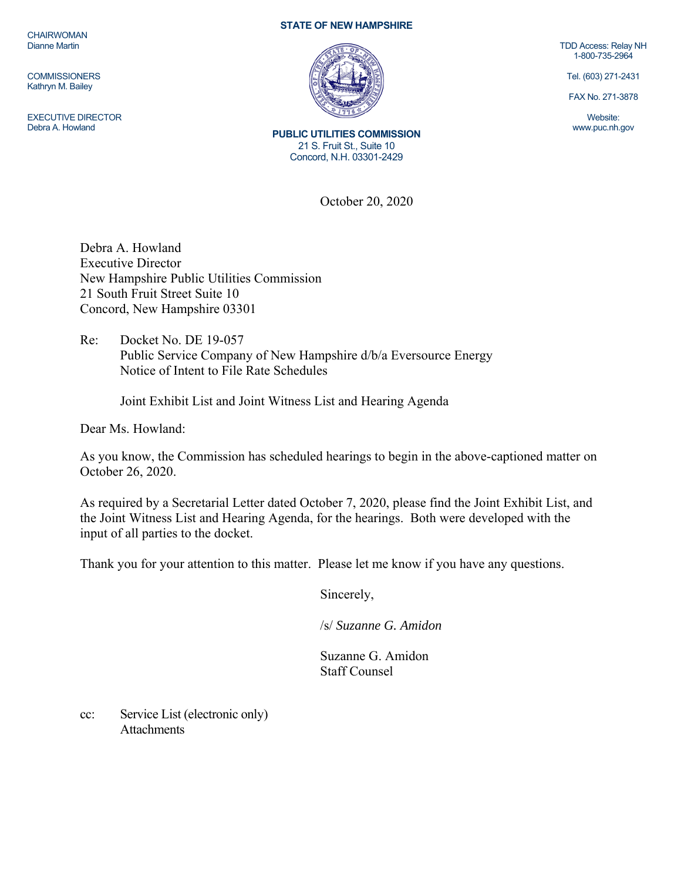**CHAIRWOMAN** Dianne Martin

**COMMISSIONERS** Kathryn M. Bailey

EXECUTIVE DIRECTOR Debra A. Howland

## **STATE OF NEW HAMPSHIRE**



**PUBLIC UTILITIES COMMISSION**  21 S. Fruit St., Suite 10 Concord, N.H. 03301-2429

October 20, 2020

Debra A. Howland Executive Director New Hampshire Public Utilities Commission 21 South Fruit Street Suite 10 Concord, New Hampshire 03301

Re: Docket No. DE 19-057 Public Service Company of New Hampshire d/b/a Eversource Energy Notice of Intent to File Rate Schedules

Joint Exhibit List and Joint Witness List and Hearing Agenda

Dear Ms. Howland:

As you know, the Commission has scheduled hearings to begin in the above-captioned matter on October 26, 2020.

As required by a Secretarial Letter dated October 7, 2020, please find the Joint Exhibit List, and the Joint Witness List and Hearing Agenda, for the hearings. Both were developed with the input of all parties to the docket.

Thank you for your attention to this matter. Please let me know if you have any questions.

Sincerely,

/s/ *Suzanne G. Amidon*

Suzanne G. Amidon Staff Counsel

cc: Service List (electronic only) **Attachments** 

TDD Access: Relay NH 1-800-735-2964

Tel. (603) 271-2431

FAX No. 271-3878

Website: www.puc.nh.gov